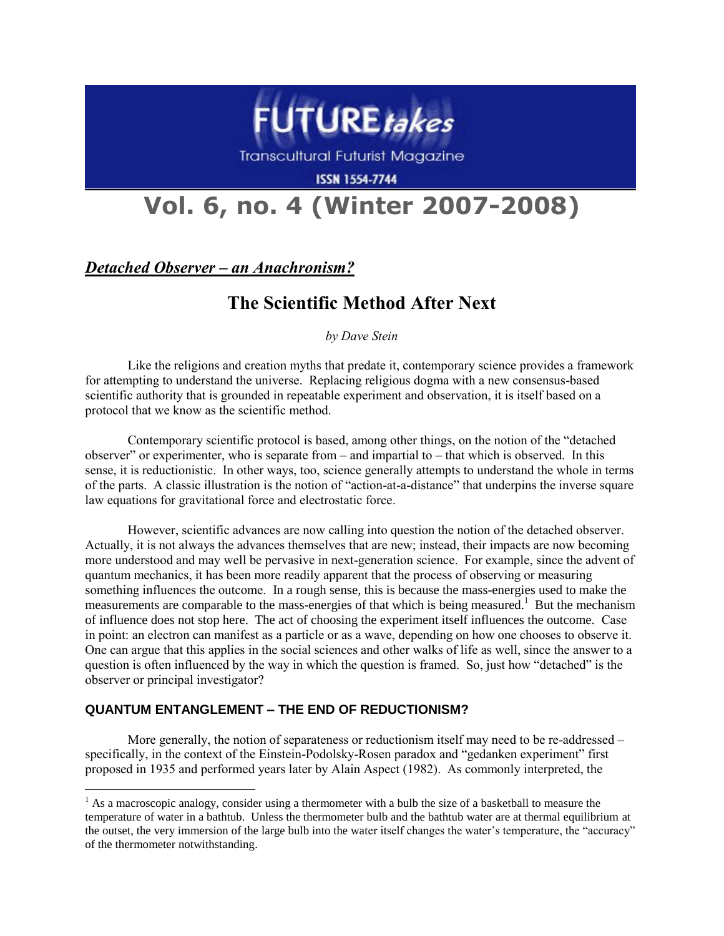

**Transcultural Futurist Magazine** 

**ISSN 1554-7744** 

# **Vol. 6, no. 4 (Winter 2007-2008)**

*Detached Observer – an Anachronism?*

# **The Scientific Method After Next**

*by Dave Stein*

Like the religions and creation myths that predate it, contemporary science provides a framework for attempting to understand the universe. Replacing religious dogma with a new consensus-based scientific authority that is grounded in repeatable experiment and observation, it is itself based on a protocol that we know as the scientific method.

Contemporary scientific protocol is based, among other things, on the notion of the "detached observer" or experimenter, who is separate from – and impartial to – that which is observed. In this sense, it is reductionistic. In other ways, too, science generally attempts to understand the whole in terms of the parts. A classic illustration is the notion of "action-at-a-distance" that underpins the inverse square law equations for gravitational force and electrostatic force.

However, scientific advances are now calling into question the notion of the detached observer. Actually, it is not always the advances themselves that are new; instead, their impacts are now becoming more understood and may well be pervasive in next-generation science. For example, since the advent of quantum mechanics, it has been more readily apparent that the process of observing or measuring something influences the outcome. In a rough sense, this is because the mass-energies used to make the measurements are comparable to the mass-energies of that which is being measured.<sup>1</sup> But the mechanism of influence does not stop here. The act of choosing the experiment itself influences the outcome. Case in point: an electron can manifest as a particle or as a wave, depending on how one chooses to observe it. One can argue that this applies in the social sciences and other walks of life as well, since the answer to a question is often influenced by the way in which the question is framed. So, just how "detached" is the observer or principal investigator?

## **QUANTUM ENTANGLEMENT – THE END OF REDUCTIONISM?**

 $\overline{a}$ 

More generally, the notion of separateness or reductionism itself may need to be re-addressed – specifically, in the context of the Einstein-Podolsky-Rosen paradox and "gedanken experiment" first proposed in 1935 and performed years later by Alain Aspect (1982). As commonly interpreted, the

 $<sup>1</sup>$  As a macroscopic analogy, consider using a thermometer with a bulb the size of a basketball to measure the</sup> temperature of water in a bathtub. Unless the thermometer bulb and the bathtub water are at thermal equilibrium at the outset, the very immersion of the large bulb into the water itself changes the water's temperature, the "accuracy" of the thermometer notwithstanding.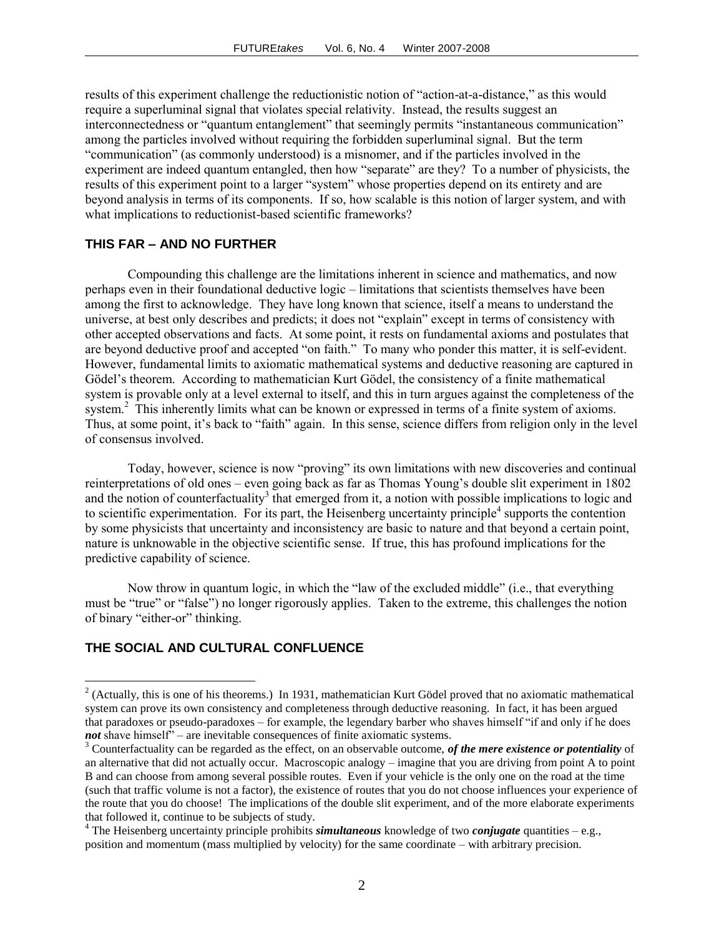results of this experiment challenge the reductionistic notion of "action-at-a-distance," as this would require a superluminal signal that violates special relativity. Instead, the results suggest an interconnectedness or "quantum entanglement" that seemingly permits "instantaneous communication" among the particles involved without requiring the forbidden superluminal signal. But the term "communication" (as commonly understood) is a misnomer, and if the particles involved in the experiment are indeed quantum entangled, then how "separate" are they? To a number of physicists, the results of this experiment point to a larger "system" whose properties depend on its entirety and are beyond analysis in terms of its components. If so, how scalable is this notion of larger system, and with what implications to reductionist-based scientific frameworks?

#### **THIS FAR – AND NO FURTHER**

Compounding this challenge are the limitations inherent in science and mathematics, and now perhaps even in their foundational deductive logic – limitations that scientists themselves have been among the first to acknowledge. They have long known that science, itself a means to understand the universe, at best only describes and predicts; it does not "explain" except in terms of consistency with other accepted observations and facts. At some point, it rests on fundamental axioms and postulates that are beyond deductive proof and accepted "on faith." To many who ponder this matter, it is self-evident. However, fundamental limits to axiomatic mathematical systems and deductive reasoning are captured in Gödel's theorem. According to mathematician Kurt Gödel, the consistency of a finite mathematical system is provable only at a level external to itself, and this in turn argues against the completeness of the system.<sup>2</sup> This inherently limits what can be known or expressed in terms of a finite system of axioms. Thus, at some point, it's back to "faith" again. In this sense, science differs from religion only in the level of consensus involved.

Today, however, science is now "proving" its own limitations with new discoveries and continual reinterpretations of old ones – even going back as far as Thomas Young's double slit experiment in 1802 and the notion of counterfactuality<sup>3</sup> that emerged from it, a notion with possible implications to logic and to scientific experimentation. For its part, the Heisenberg uncertainty principle<sup>4</sup> supports the contention by some physicists that uncertainty and inconsistency are basic to nature and that beyond a certain point, nature is unknowable in the objective scientific sense. If true, this has profound implications for the predictive capability of science.

Now throw in quantum logic, in which the "law of the excluded middle" (i.e., that everything must be "true" or "false") no longer rigorously applies. Taken to the extreme, this challenges the notion of binary "either-or" thinking.

#### **THE SOCIAL AND CULTURAL CONFLUENCE**

 $\overline{a}$ 

 $2^{2}$  (Actually, this is one of his theorems.) In 1931, mathematician Kurt Gödel proved that no axiomatic mathematical system can prove its own consistency and completeness through deductive reasoning. In fact, it has been argued that paradoxes or pseudo-paradoxes – for example, the legendary barber who shaves himself "if and only if he does *not* shave himself<sup>"</sup> – are inevitable consequences of finite axiomatic systems.

<sup>3</sup> Counterfactuality can be regarded as the effect, on an observable outcome, *of the mere existence or potentiality* of an alternative that did not actually occur. Macroscopic analogy – imagine that you are driving from point A to point B and can choose from among several possible routes. Even if your vehicle is the only one on the road at the time (such that traffic volume is not a factor), the existence of routes that you do not choose influences your experience of the route that you do choose! The implications of the double slit experiment, and of the more elaborate experiments that followed it, continue to be subjects of study.

<sup>4</sup> The Heisenberg uncertainty principle prohibits *simultaneous* knowledge of two *conjugate* quantities – e.g., position and momentum (mass multiplied by velocity) for the same coordinate – with arbitrary precision.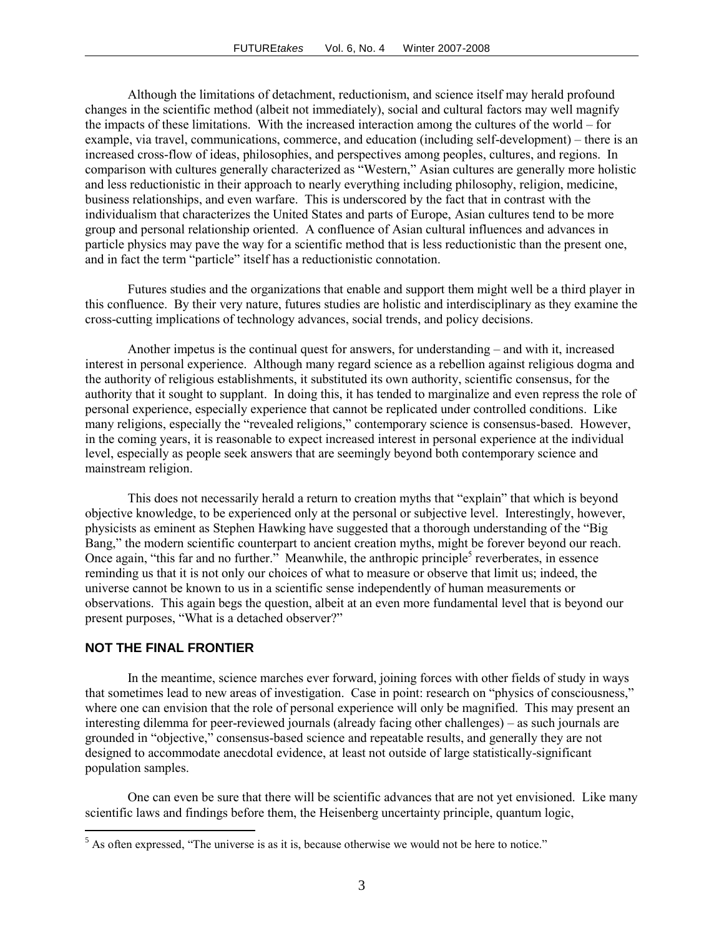Although the limitations of detachment, reductionism, and science itself may herald profound changes in the scientific method (albeit not immediately), social and cultural factors may well magnify the impacts of these limitations. With the increased interaction among the cultures of the world – for example, via travel, communications, commerce, and education (including self-development) – there is an increased cross-flow of ideas, philosophies, and perspectives among peoples, cultures, and regions. In comparison with cultures generally characterized as "Western," Asian cultures are generally more holistic and less reductionistic in their approach to nearly everything including philosophy, religion, medicine, business relationships, and even warfare. This is underscored by the fact that in contrast with the individualism that characterizes the United States and parts of Europe, Asian cultures tend to be more group and personal relationship oriented. A confluence of Asian cultural influences and advances in particle physics may pave the way for a scientific method that is less reductionistic than the present one, and in fact the term "particle" itself has a reductionistic connotation.

Futures studies and the organizations that enable and support them might well be a third player in this confluence. By their very nature, futures studies are holistic and interdisciplinary as they examine the cross-cutting implications of technology advances, social trends, and policy decisions.

Another impetus is the continual quest for answers, for understanding – and with it, increased interest in personal experience. Although many regard science as a rebellion against religious dogma and the authority of religious establishments, it substituted its own authority, scientific consensus, for the authority that it sought to supplant. In doing this, it has tended to marginalize and even repress the role of personal experience, especially experience that cannot be replicated under controlled conditions. Like many religions, especially the "revealed religions," contemporary science is consensus-based. However, in the coming years, it is reasonable to expect increased interest in personal experience at the individual level, especially as people seek answers that are seemingly beyond both contemporary science and mainstream religion.

This does not necessarily herald a return to creation myths that "explain" that which is beyond objective knowledge, to be experienced only at the personal or subjective level. Interestingly, however, physicists as eminent as Stephen Hawking have suggested that a thorough understanding of the "Big Bang," the modern scientific counterpart to ancient creation myths, might be forever beyond our reach. Once again, "this far and no further." Meanwhile, the anthropic principle<sup>5</sup> reverberates, in essence reminding us that it is not only our choices of what to measure or observe that limit us; indeed, the universe cannot be known to us in a scientific sense independently of human measurements or observations. This again begs the question, albeit at an even more fundamental level that is beyond our present purposes, "What is a detached observer?"

#### **NOT THE FINAL FRONTIER**

 $\overline{a}$ 

In the meantime, science marches ever forward, joining forces with other fields of study in ways that sometimes lead to new areas of investigation. Case in point: research on "physics of consciousness," where one can envision that the role of personal experience will only be magnified. This may present an interesting dilemma for peer-reviewed journals (already facing other challenges) – as such journals are grounded in "objective," consensus-based science and repeatable results, and generally they are not designed to accommodate anecdotal evidence, at least not outside of large statistically-significant population samples.

One can even be sure that there will be scientific advances that are not yet envisioned. Like many scientific laws and findings before them, the Heisenberg uncertainty principle, quantum logic,

 $<sup>5</sup>$  As often expressed, "The universe is as it is, because otherwise we would not be here to notice."</sup>